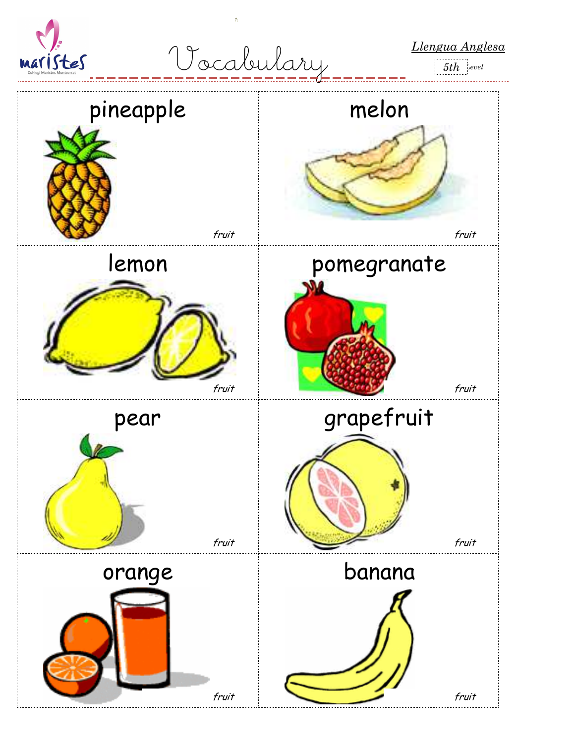

*Llengua Anglesa* Vocabulary

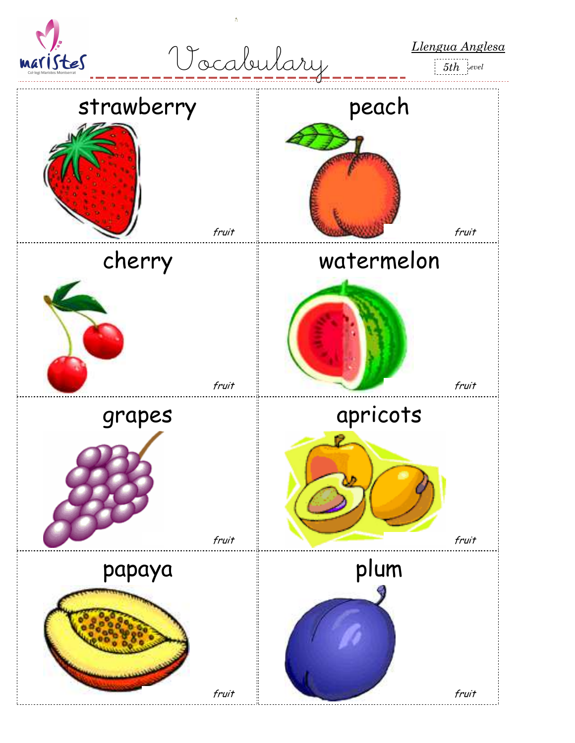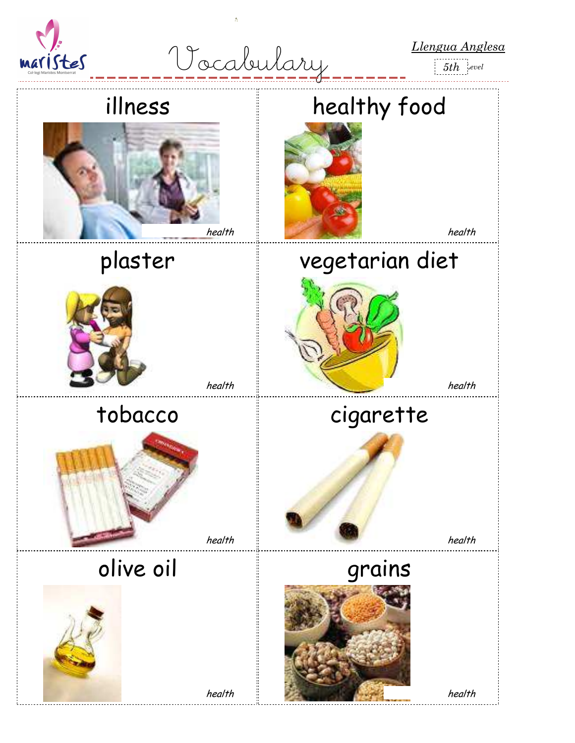

*Llengua Anglesa* Vocabulary

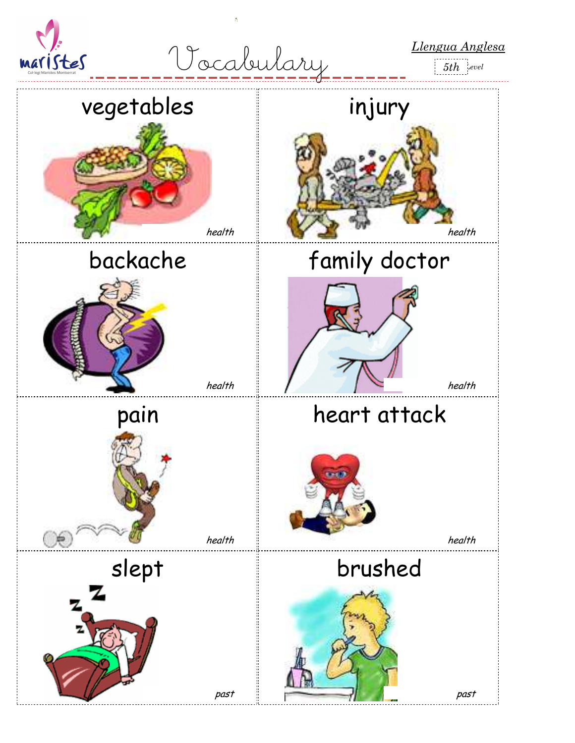

*Llengua Anglesa* Vocabulary



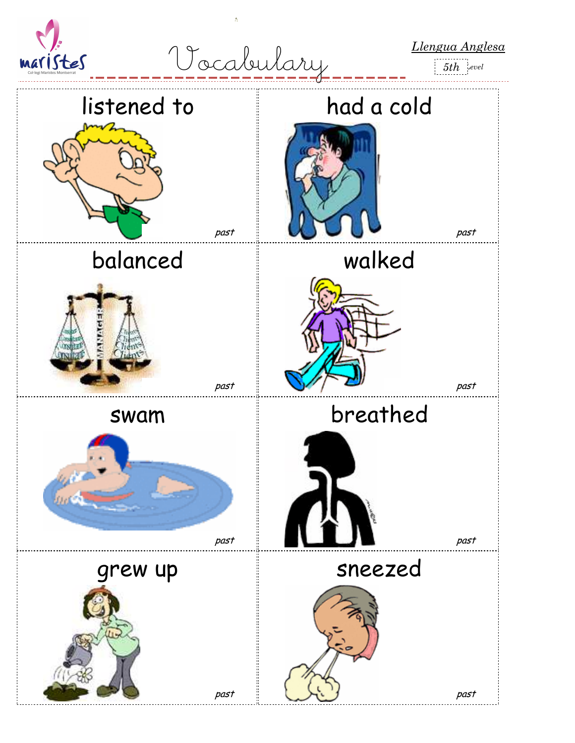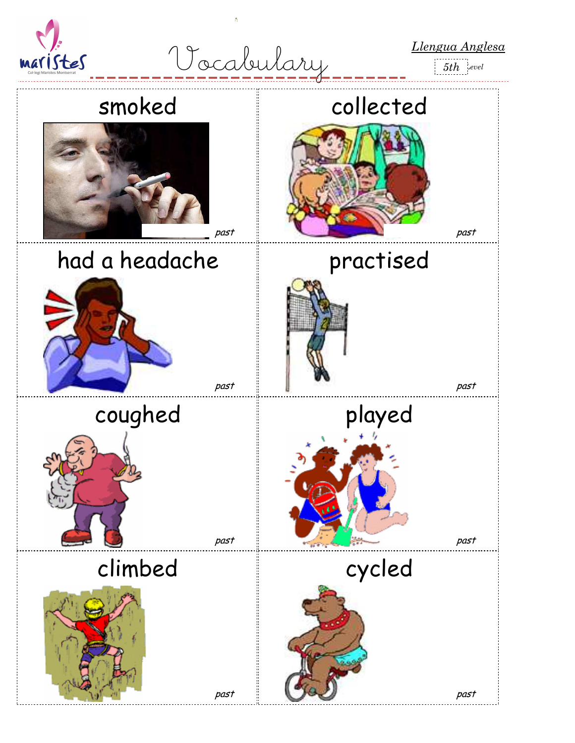

*Llengua Anglesa* Vocabulary

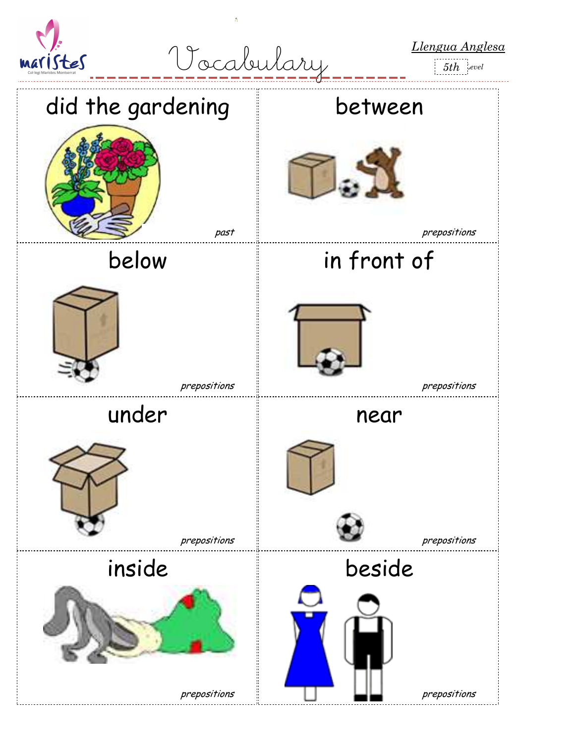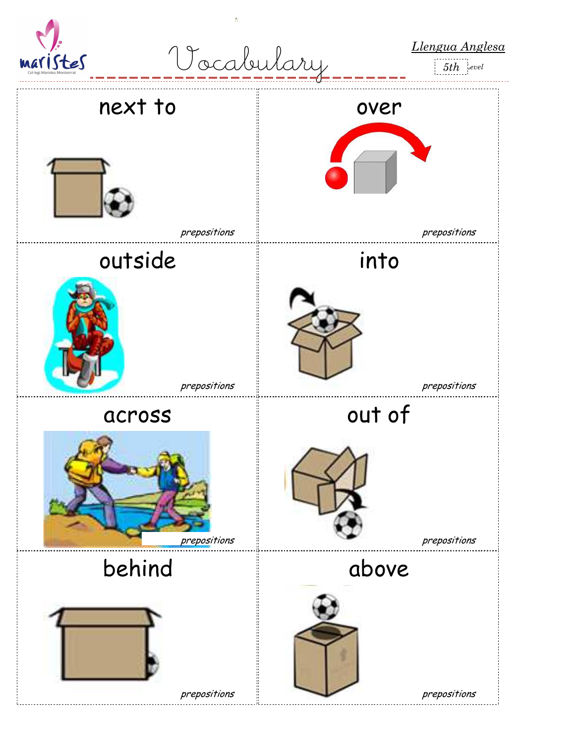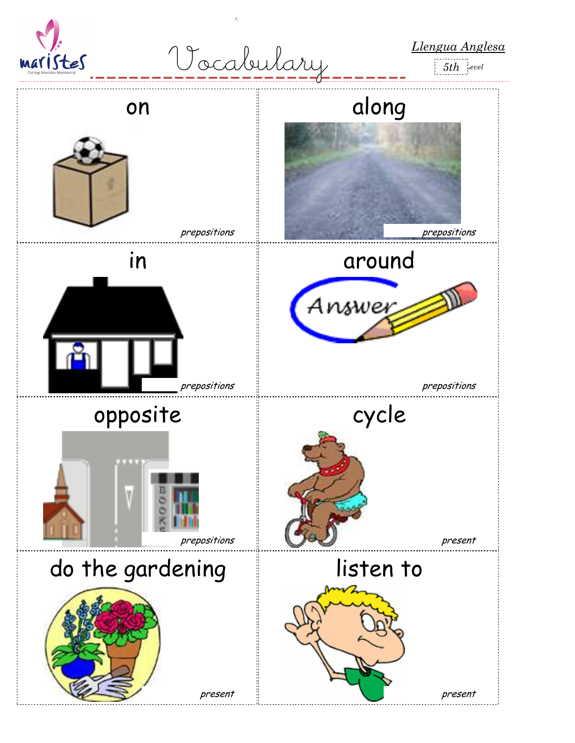

*Llengua Anglesa* Vocabulary

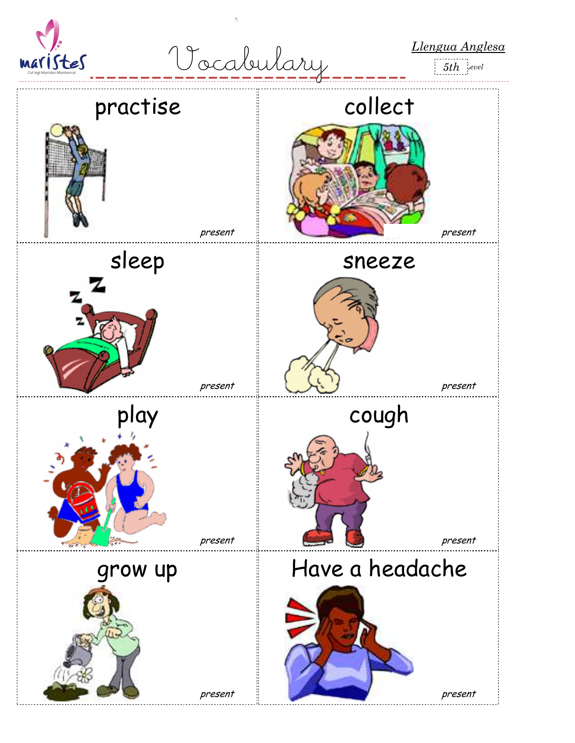

*Llengua Anglesa* Vocabulary



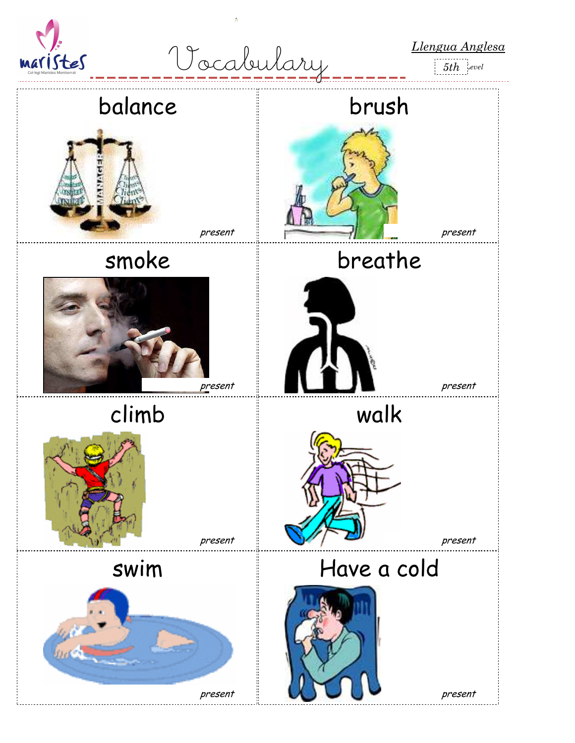

*Llengua Anglesa* Vocabulary

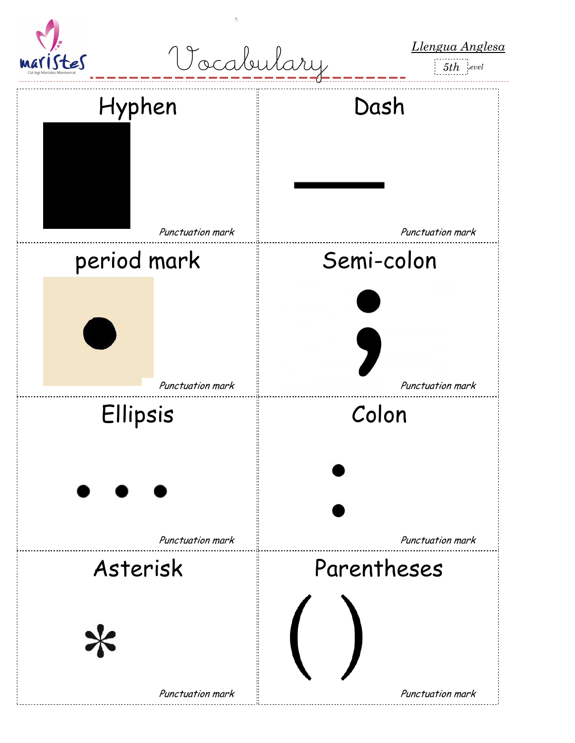